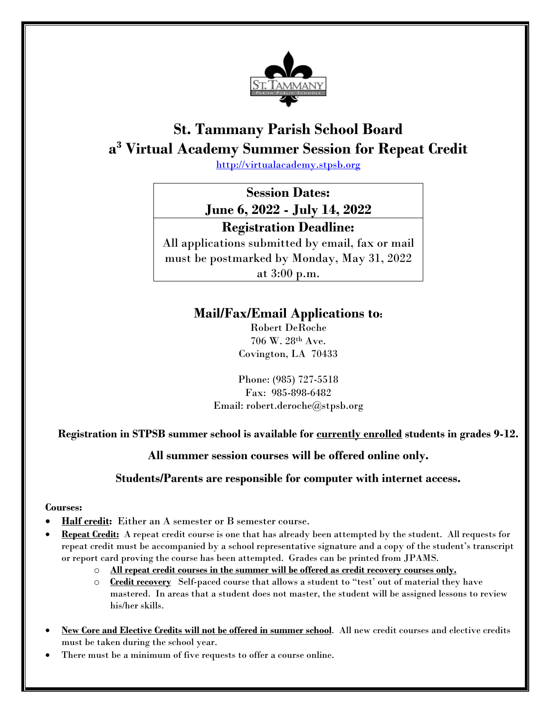

# **St. Tammany Parish School Board a3 Virtual Academy Summer Session for Repeat Credit**

[http://virtualacademy.stpsb.org](http://virtualacademy.stpsb.org/)

**Session Dates: June 6, 2022 - July 14, 2022**

### **Registration Deadline:**

All applications submitted by email, fax or mail must be postmarked by Monday, May 31, 2022 at 3:00 p.m.

## **Mail/Fax/Email Applications to:**

Robert DeRoche 706 W. 28th Ave. Covington, LA 70433

Phone: (985) 727-5518 Fax: 985-898-6482 Email: robert.deroche@stpsb.org

### **Registration in STPSB summer school is available for currently enrolled students in grades 9-12.**

**All summer session courses will be offered online only.** 

### **Students/Parents are responsible for computer with internet access.**

#### **Courses:**

- **Half credit:** Either an A semester or B semester course.
- **Repeat Credit:** A repeat credit course is one that has already been attempted by the student. All requests for repeat credit must be accompanied by a school representative signature and a copy of the student's transcript or report card proving the course has been attempted. Grades can be printed from JPAMS.
	- o **All repeat credit courses in the summer will be offered as credit recovery courses only.**
	- o **Credit recovery** Self-paced course that allows a student to "test' out of material they have mastered. In areas that a student does not master, the student will be assigned lessons to review his/her skills.
- **New Core and Elective Credits will not be offered in summer school**. All new credit courses and elective credits must be taken during the school year.
- There must be a minimum of five requests to offer a course online.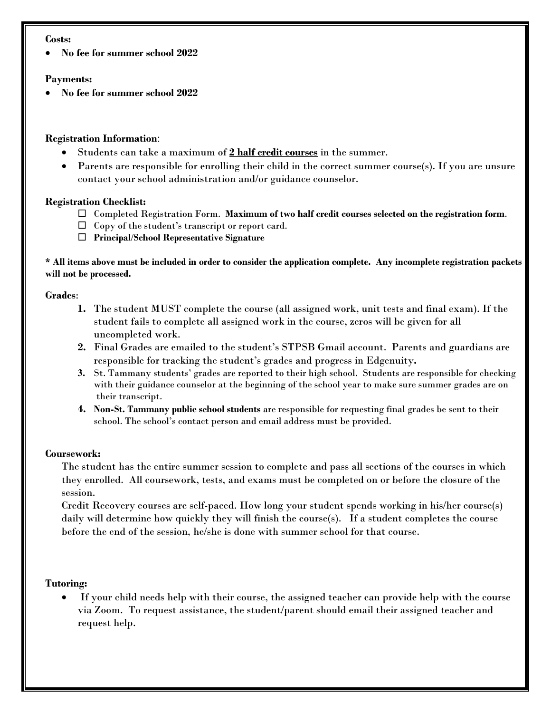#### **Costs:**

• **No fee for summer school 2022**

#### **Payments:**

• **No fee for summer school 2022**

#### **Registration Information**:

- Students can take a maximum of **2 half credit courses** in the summer.
- Parents are responsible for enrolling their child in the correct summer course(s). If you are unsure contact your school administration and/or guidance counselor.

#### **Registration Checklist:**

- Completed Registration Form. **Maximum of two half credit courses selected on the registration form**.
- $\Box$  Copy of the student's transcript or report card.
- **Principal**/**School Representative Signature**

**\* All items above must be included in order to consider the application complete. Any incomplete registration packets will not be processed.** 

#### **Grades**:

- **1.** The student MUST complete the course (all assigned work, unit tests and final exam). If the student fails to complete all assigned work in the course, zeros will be given for all uncompleted work.
- **2.** Final Grades are emailed to the student's STPSB Gmail account. Parents and guardians are responsible for tracking the student's grades and progress in Edgenuity**.**
- **3.** St. Tammany students' grades are reported to their high school. Students are responsible for checking with their guidance counselor at the beginning of the school year to make sure summer grades are on their transcript.
- **4. Non-St. Tammany public school students** are responsible for requesting final grades be sent to their school. The school's contact person and email address must be provided.

#### **Coursework:**

The student has the entire summer session to complete and pass all sections of the courses in which they enrolled. All coursework, tests, and exams must be completed on or before the closure of the session.

Credit Recovery courses are self-paced. How long your student spends working in his/her course(s) daily will determine how quickly they will finish the course(s). If a student completes the course before the end of the session, he/she is done with summer school for that course.

#### **Tutoring:**

If your child needs help with their course, the assigned teacher can provide help with the course via Zoom. To request assistance, the student/parent should email their assigned teacher and request help.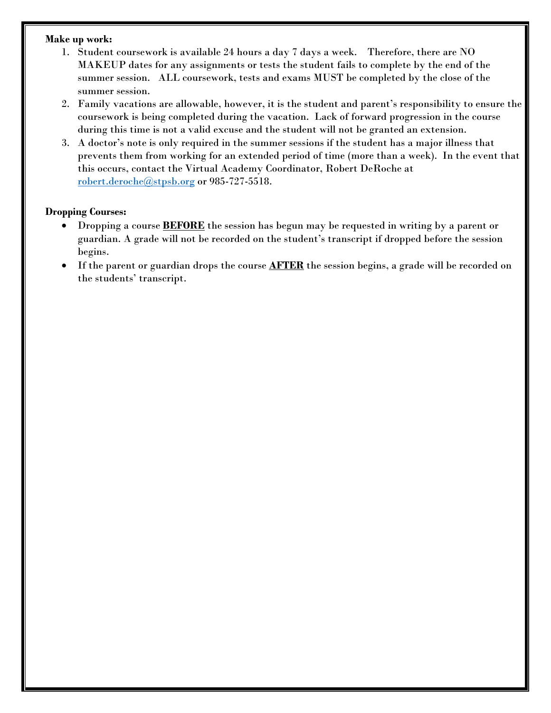#### **Make up work:**

- 1. Student coursework is available 24 hours a day 7 days a week. Therefore, there are NO MAKEUP dates for any assignments or tests the student fails to complete by the end of the summer session. ALL coursework, tests and exams MUST be completed by the close of the summer session.
- 2. Family vacations are allowable, however, it is the student and parent's responsibility to ensure the coursework is being completed during the vacation. Lack of forward progression in the course during this time is not a valid excuse and the student will not be granted an extension.
- 3. A doctor's note is only required in the summer sessions if the student has a major illness that prevents them from working for an extended period of time (more than a week). In the event that this occurs, contact the Virtual Academy Coordinator, Robert DeRoche at [robert.deroche@stpsb.org](mailto:robert.deroche@stpsb.org) or 985-727-5518.

#### **Dropping Courses:**

- Dropping a course **BEFORE** the session has begun may be requested in writing by a parent or guardian. A grade will not be recorded on the student's transcript if dropped before the session begins.
- If the parent or guardian drops the course **AFTER** the session begins, a grade will be recorded on the students' transcript.